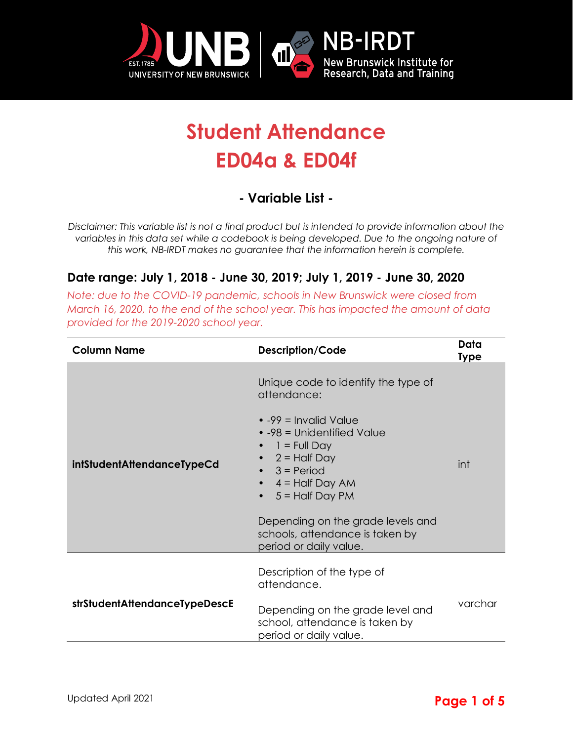

## **Student Attendance ED04a & ED04f**

## **- Variable List -**

*Disclaimer: This variable list is not a final product but is intended to provide information about the variables in this data set while a codebook is being developed. Due to the ongoing nature of this work, NB-IRDT makes no guarantee that the information herein is complete.* 

## **Date range: July 1, 2018 - June 30, 2019; July 1, 2019 - June 30, 2020**

*Note: due to the COVID-19 pandemic, schools in New Brunswick were closed from March 16, 2020, to the end of the school year. This has impacted the amount of data provided for the 2019-2020 school year.*

| <b>Column Name</b>            | Description/Code                                                                                                                                                                                                                                                                                                                         | Data<br><b>Type</b> |
|-------------------------------|------------------------------------------------------------------------------------------------------------------------------------------------------------------------------------------------------------------------------------------------------------------------------------------------------------------------------------------|---------------------|
| intStudentAttendanceTypeCd    | Unique code to identify the type of<br>attendance:<br>$\bullet$ -99 = Invalid Value<br>• -98 = Unidentified Value<br>$1 =$ Full Day<br>• $2 =$ Half Day<br>$3 = Period$<br>$\bullet$ 4 = Half Day AM<br>$5 =$ Half Day PM<br>$\bullet$<br>Depending on the grade levels and<br>schools, attendance is taken by<br>period or daily value. | int                 |
| strStudentAttendanceTypeDescE | Description of the type of<br>attendance.<br>Depending on the grade level and<br>school, attendance is taken by<br>period or daily value.                                                                                                                                                                                                | varchar             |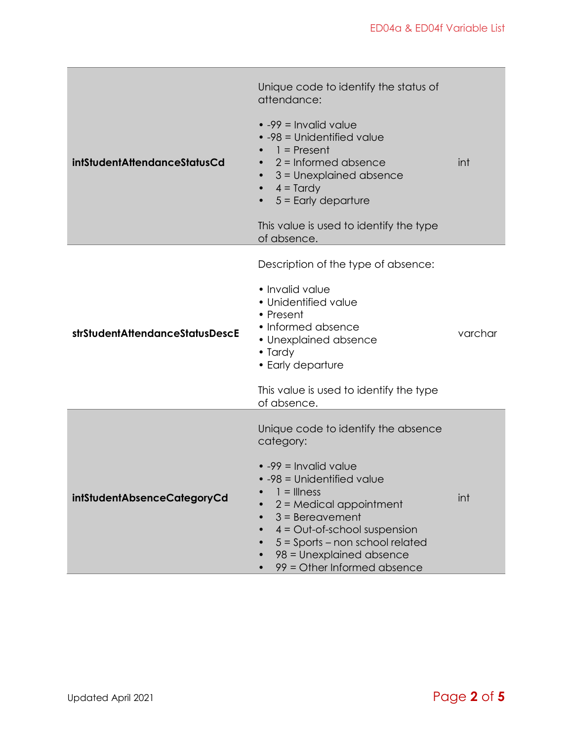| <b>intStudentAttendanceStatusCd</b> | Unique code to identify the status of<br>attendance:<br>$\bullet$ -99 = Invalid value<br>• -98 = Unidentified value<br>$1 =$ Present<br>$2 =$ Informed absence<br>$3$ = Unexplained absence<br>$4 = T$ ardy<br>$5 =$ Early departure<br>This value is used to identify the type<br>of absence.                                          | int     |
|-------------------------------------|-----------------------------------------------------------------------------------------------------------------------------------------------------------------------------------------------------------------------------------------------------------------------------------------------------------------------------------------|---------|
| strStudentAttendanceStatusDescE     | Description of the type of absence:<br>• Invalid value<br>• Unidentified value<br>• Present<br>• Informed absence<br>• Unexplained absence<br>• Tardy<br>• Early departure<br>This value is used to identify the type<br>of absence.                                                                                                    | varchar |
| intStudentAbsenceCategoryCd         | Unique code to identify the absence<br>category:<br>$\bullet$ -99 = Invalid value<br>$\bullet$ -98 = Unidentified value<br>1 = Illness<br>$2$ = Medical appointment<br>$3 =$ Bereavement<br>$4 = Out-of-school suspension$<br>$5 =$ Sports – non school related<br>98 = Unexplained absence<br>99 = Other Informed absence<br>$\bullet$ | int     |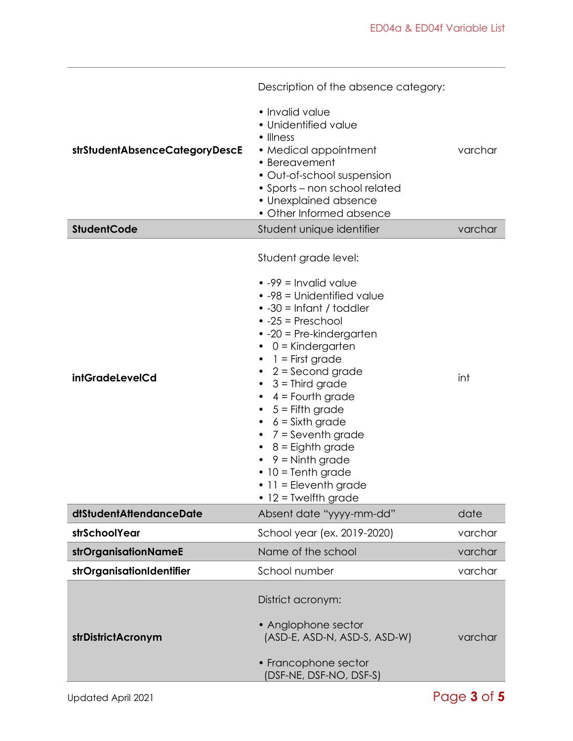|                                | Description of the absence category:                                                                                                                                                                                                                                                                                                                                                                                                                                                                                                               |         |
|--------------------------------|----------------------------------------------------------------------------------------------------------------------------------------------------------------------------------------------------------------------------------------------------------------------------------------------------------------------------------------------------------------------------------------------------------------------------------------------------------------------------------------------------------------------------------------------------|---------|
| strStudentAbsenceCategoryDescE | • Invalid value<br>· Unidentified value<br>$\bullet$ Illness<br>• Medical appointment<br>• Bereavement<br>· Out-of-school suspension<br>• Sports – non school related<br>• Unexplained absence<br>• Other Informed absence                                                                                                                                                                                                                                                                                                                         | varchar |
| <b>StudentCode</b>             | Student unique identifier                                                                                                                                                                                                                                                                                                                                                                                                                                                                                                                          | varchar |
| intGradeLevelCd                | Student grade level:<br>$\bullet$ -99 = Invalid value<br>$\bullet$ -98 = Unidentified value<br>$\bullet$ -30 = Infant / toddler<br>$\bullet$ -25 = Preschool<br>$\bullet$ -20 = Pre-kindergarten<br>0 = Kindergarten<br>1 = First grade<br>2 = Second grade<br>$\bullet$<br>3 = Third grade<br>$\bullet$<br>$4 =$ Fourth grade<br>$5 =$ Fifth grade<br>$\bullet$<br>$6 =$ Sixth grade<br>7 = Seventh grade<br>8 = Eighth grade<br>$9 =$ Ninth grade<br>$\bullet$ 10 = Tenth grade<br>$\bullet$ 11 = Eleventh grade<br>$\bullet$ 12 = Twelfth grade | int     |
| dtStudentAttendanceDate        | Absent date "yyyy-mm-dd"                                                                                                                                                                                                                                                                                                                                                                                                                                                                                                                           | date    |
| strSchoolYear                  | School year (ex. 2019-2020)                                                                                                                                                                                                                                                                                                                                                                                                                                                                                                                        | varchar |
| strOrganisationNameE           | Name of the school                                                                                                                                                                                                                                                                                                                                                                                                                                                                                                                                 | varchar |
| strOrganisationIdentifier      | School number                                                                                                                                                                                                                                                                                                                                                                                                                                                                                                                                      | varchar |
| strDistrictAcronym             | District acronym:<br>• Anglophone sector<br>(ASD-E, ASD-N, ASD-S, ASD-W)<br>• Francophone sector<br>(DSF-NE, DSF-NO, DSF-S)                                                                                                                                                                                                                                                                                                                                                                                                                        | varchar |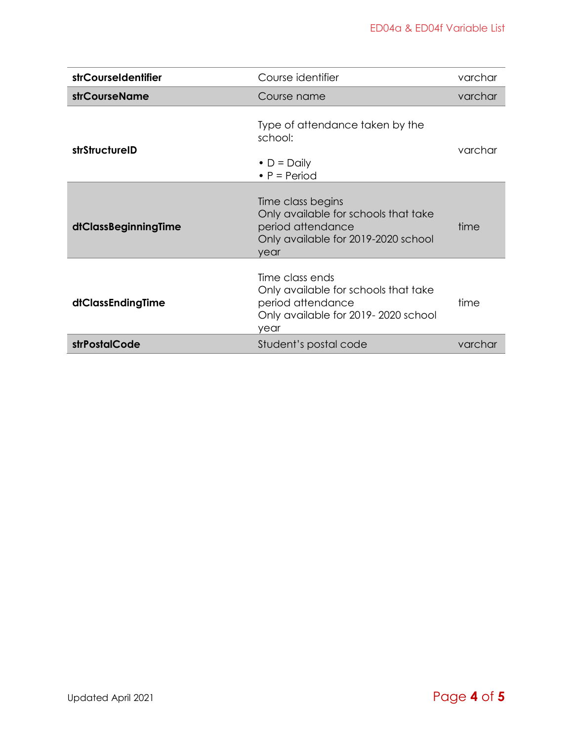| strCourseIdentifier  | Course identifier                                                                                                             | varchar |
|----------------------|-------------------------------------------------------------------------------------------------------------------------------|---------|
| <b>strCourseName</b> | Course name                                                                                                                   | varchar |
| strStructureID       | Type of attendance taken by the<br>school:<br>$\bullet$ D = Daily<br>• $P = Period$                                           | varchar |
| dtClassBeginningTime | Time class begins<br>Only available for schools that take<br>period attendance<br>Only available for 2019-2020 school<br>year | time    |
| dtClassEndingTime    | Time class ends<br>Only available for schools that take<br>period attendance<br>Only available for 2019-2020 school<br>year   | time    |
| strPostalCode        | Student's postal code                                                                                                         | varchar |